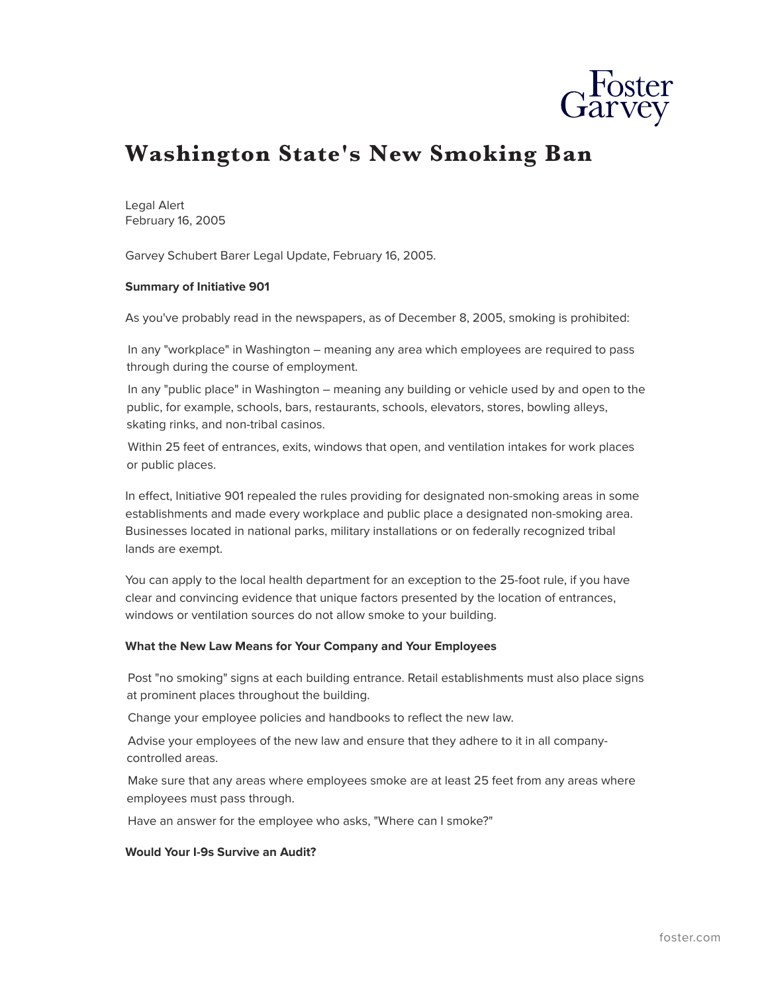

# **Washington State's New Smoking Ban**

Legal Alert February 16, 2005

Garvey Schubert Barer Legal Update, February 16, 2005.

### **Summary of Initiative 901**

As you've probably read in the newspapers, as of December 8, 2005, smoking is prohibited:

In any "workplace" in Washington – meaning any area which employees are required to pass through during the course of employment.

In any "public place" in Washington – meaning any building or vehicle used by and open to the public, for example, schools, bars, restaurants, schools, elevators, stores, bowling alleys, skating rinks, and non-tribal casinos.

Within 25 feet of entrances, exits, windows that open, and ventilation intakes for work places or public places.

In effect, Initiative 901 repealed the rules providing for designated non-smoking areas in some establishments and made every workplace and public place a designated non-smoking area. Businesses located in national parks, military installations or on federally recognized tribal lands are exempt.

You can apply to the local health department for an exception to the 25-foot rule, if you have clear and convincing evidence that unique factors presented by the location of entrances, windows or ventilation sources do not allow smoke to your building.

#### **What the New Law Means for Your Company and Your Employees**

Post "no smoking" signs at each building entrance. Retail establishments must also place signs at prominent places throughout the building.

Change your employee policies and handbooks to reflect the new law.

Advise your employees of the new law and ensure that they adhere to it in all companycontrolled areas.

Make sure that any areas where employees smoke are at least 25 feet from any areas where employees must pass through.

Have an answer for the employee who asks, "Where can I smoke?"

#### **Would Your I-9s Survive an Audit?**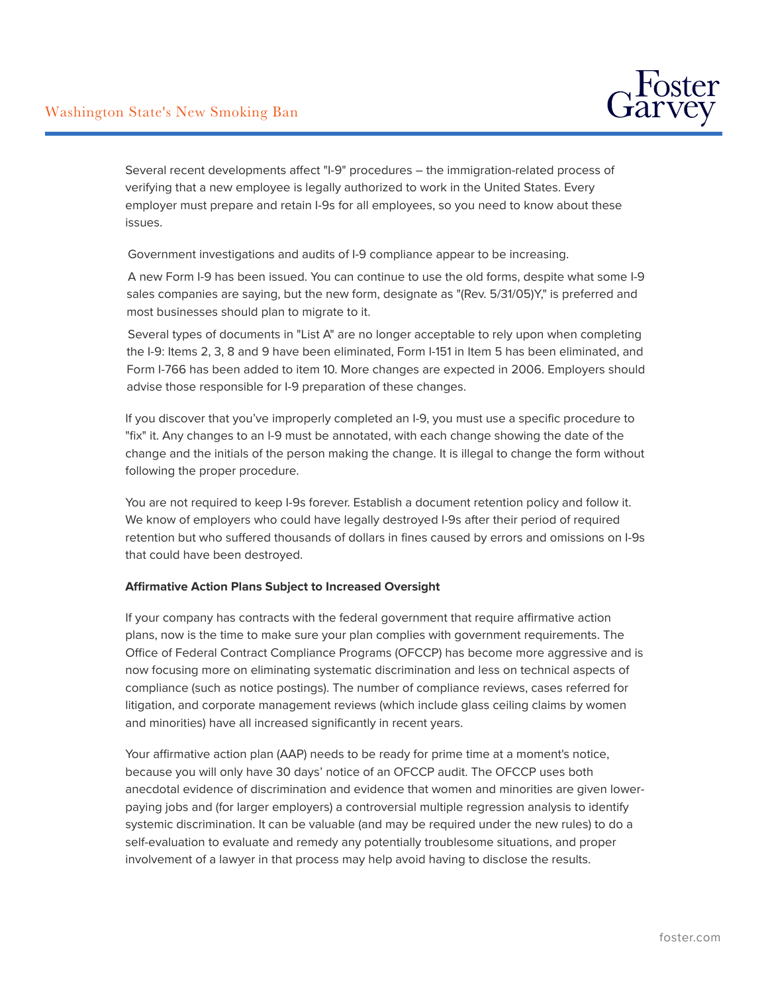

Several recent developments affect "I-9" procedures – the immigration-related process of verifying that a new employee is legally authorized to work in the United States. Every employer must prepare and retain I-9s for all employees, so you need to know about these issues.

Government investigations and audits of I-9 compliance appear to be increasing.

A new Form I-9 has been issued. You can continue to use the old forms, despite what some I-9 sales companies are saying, but the new form, designate as "(Rev. 5/31/05)Y," is preferred and most businesses should plan to migrate to it.

Several types of documents in "List A" are no longer acceptable to rely upon when completing the I-9: Items 2, 3, 8 and 9 have been eliminated, Form I-151 in Item 5 has been eliminated, and Form I-766 has been added to item 10. More changes are expected in 2006. Employers should advise those responsible for I-9 preparation of these changes.

If you discover that you've improperly completed an I-9, you must use a specific procedure to "fix" it. Any changes to an I-9 must be annotated, with each change showing the date of the change and the initials of the person making the change. It is illegal to change the form without following the proper procedure.

You are not required to keep I-9s forever. Establish a document retention policy and follow it. We know of employers who could have legally destroyed I-9s after their period of required retention but who suffered thousands of dollars in fines caused by errors and omissions on I-9s that could have been destroyed.

## **Affirmative Action Plans Subject to Increased Oversight**

If your company has contracts with the federal government that require affirmative action plans, now is the time to make sure your plan complies with government requirements. The Office of Federal Contract Compliance Programs (OFCCP) has become more aggressive and is now focusing more on eliminating systematic discrimination and less on technical aspects of compliance (such as notice postings). The number of compliance reviews, cases referred for litigation, and corporate management reviews (which include glass ceiling claims by women and minorities) have all increased significantly in recent years.

Your affirmative action plan (AAP) needs to be ready for prime time at a moment's notice, because you will only have 30 days' notice of an OFCCP audit. The OFCCP uses both anecdotal evidence of discrimination and evidence that women and minorities are given lowerpaying jobs and (for larger employers) a controversial multiple regression analysis to identify systemic discrimination. It can be valuable (and may be required under the new rules) to do a self-evaluation to evaluate and remedy any potentially troublesome situations, and proper involvement of a lawyer in that process may help avoid having to disclose the results.